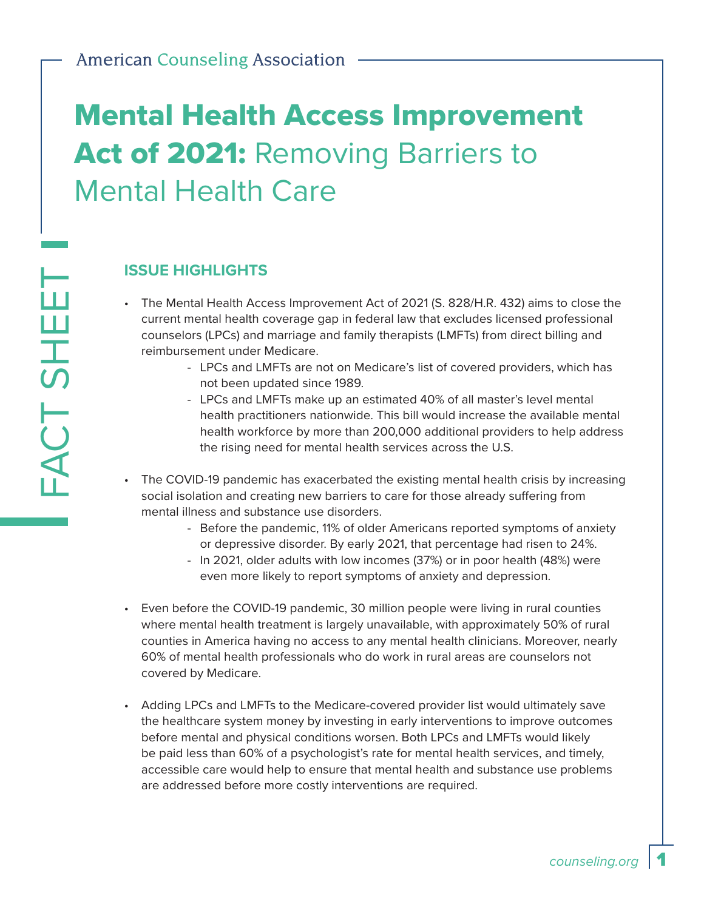# Mental Health Access Improvement Act of 2021: Removing Barriers to Mental Health Care

#### **ISSUE HIGHLIGHTS**

- The Mental Health Access Improvement Act of 2021 (S. 828/H.R. 432) aims to close the current mental health coverage gap in federal law that excludes licensed professional counselors (LPCs) and marriage and family therapists (LMFTs) from direct billing and reimbursement under Medicare.
	- LPCs and LMFTs are not on Medicare's list of covered providers, which has not been updated since 1989.
	- LPCs and LMFTs make up an estimated 40% of all master's level mental health practitioners nationwide. This bill would increase the available mental health workforce by more than 200,000 additional providers to help address the rising need for mental health services across the U.S.
- The COVID-19 pandemic has exacerbated the existing mental health crisis by increasing social isolation and creating new barriers to care for those already suffering from mental illness and substance use disorders.
	- Before the pandemic, 11% of older Americans reported symptoms of anxiety or depressive disorder. By early 2021, that percentage had risen to 24%.
	- In 2021, older adults with low incomes (37%) or in poor health (48%) were even more likely to report symptoms of anxiety and depression.
- Even before the COVID-19 pandemic, 30 million people were living in rural counties where mental health treatment is largely unavailable, with approximately 50% of rural counties in America having no access to any mental health clinicians. Moreover, nearly 60% of mental health professionals who do work in rural areas are counselors not covered by Medicare.
- Adding LPCs and LMFTs to the Medicare-covered provider list would ultimately save the healthcare system money by investing in early interventions to improve outcomes before mental and physical conditions worsen. Both LPCs and LMFTs would likely be paid less than 60% of a psychologist's rate for mental health services, and timely, accessible care would help to ensure that mental health and substance use problems are addressed before more costly interventions are required.